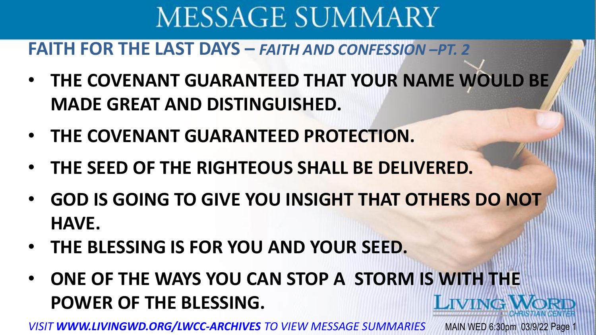#### **FAITH FOR THE LAST DAYS –** *FAITH AND CONFESSION –PT. 2*

- **THE COVENANT GUARANTEED THAT YOUR NAME WOULD BE MADE GREAT AND DISTINGUISHED.**
- **THE COVENANT GUARANTEED PROTECTION.**
- **THE SEED OF THE RIGHTEOUS SHALL BE DELIVERED.**
- **GOD IS GOING TO GIVE YOU INSIGHT THAT OTHERS DO NOT HAVE.**
- **THE BLESSING IS FOR YOU AND YOUR SEED.**
- **ONE OF THE WAYS YOU CAN STOP A STORM IS WITH THE POWER OF THE BLESSING. LIVINGW**

*VISIT WWW.LIVINGWD.ORG/LWCC-ARCHIVES TO VIEW MESSAGE SUMMARIES* MAIN WED 6:30pm 03/9/22 Page 1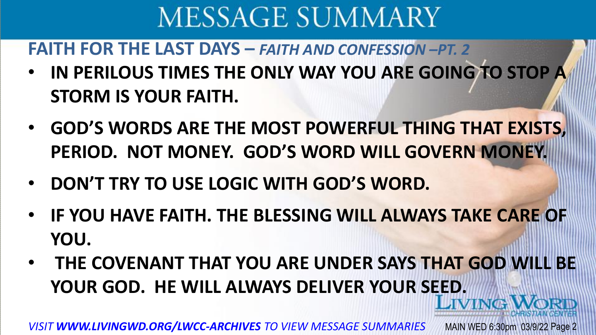**FAITH FOR THE LAST DAYS –** *FAITH AND CONFESSION –PT. 2*

- **IN PERILOUS TIMES THE ONLY WAY YOU ARE GOING TO STOP A STORM IS YOUR FAITH.**
- **GOD'S WORDS ARE THE MOST POWERFUL THING THAT EXISTS, PERIOD. NOT MONEY. GOD'S WORD WILL GOVERN MONEY.**
- **DON'T TRY TO USE LOGIC WITH GOD'S WORD.**
- **IF YOU HAVE FAITH. THE BLESSING WILL ALWAYS TAKE CARE OF YOU.**
- **THE COVENANT THAT YOU ARE UNDER SAYS THAT GOD WILL BE YOUR GOD. HE WILL ALWAYS DELIVER YOUR SEED.**

*VISIT WWW.LIVINGWD.ORG/LWCC-ARCHIVES TO VIEW MESSAGE SUMMARIES* MAIN WED 6:30pm 03/9/22 Page 2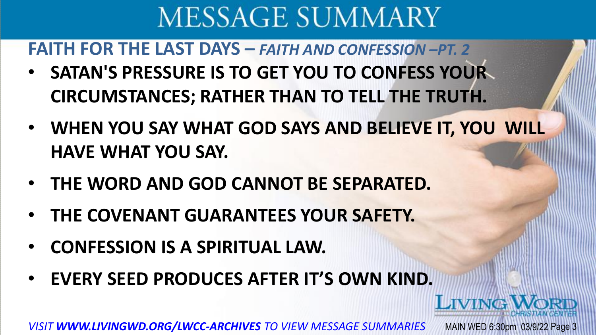**FAITH FOR THE LAST DAYS –** *FAITH AND CONFESSION –PT. 2*

- **SATAN'S PRESSURE IS TO GET YOU TO CONFESS YOUR CIRCUMSTANCES; RATHER THAN TO TELL THE TRUTH.**
- **WHEN YOU SAY WHAT GOD SAYS AND BELIEVE IT, YOU WILL HAVE WHAT YOU SAY.**

LIVING

- **THE WORD AND GOD CANNOT BE SEPARATED.**
- **THE COVENANT GUARANTEES YOUR SAFETY.**
- **CONFESSION IS A SPIRITUAL LAW.**
- **EVERY SEED PRODUCES AFTER IT'S OWN KIND.**

*VISIT WWW.LIVINGWD.ORG/LWCC-ARCHIVES TO VIEW MESSAGE SUMMARIES* MAIN WED 6:30pm 03/9/22 Page 3